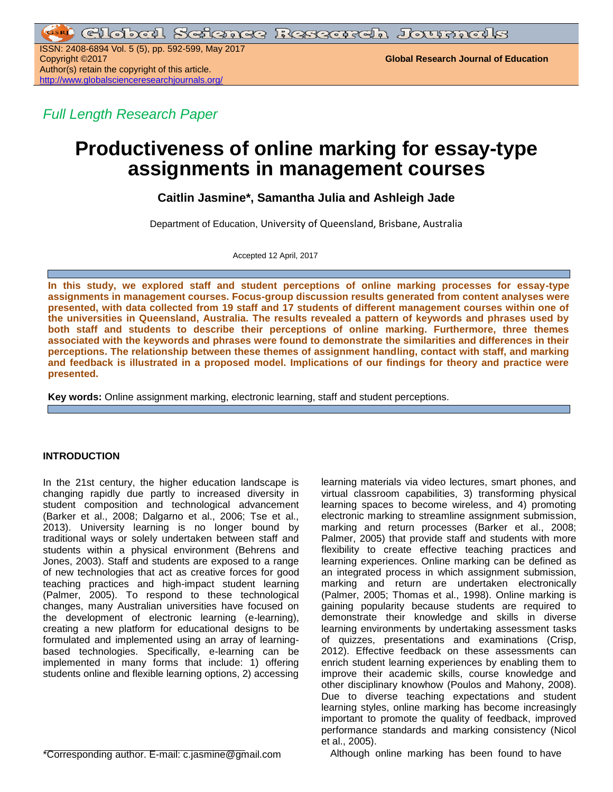ISSN: 2408-6894 Vol. 5 (5), pp. 592-599, May 2017 Author(s) retain the copyright of this article. <http://www.globalscienceresearchjournals.org/>

**Global Research Journal of Education** 

*Full Length Research Paper*

# **Productiveness of online marking for essay-type assignments in management courses**

**Caitlin Jasmine\*, Samantha Julia and Ashleigh Jade**

Department of Education, University of Queensland, Brisbane, Australia

Accepted 12 April, 2017

**In this study, we explored staff and student perceptions of online marking processes for essay-type assignments in management courses. Focus-group discussion results generated from content analyses were presented, with data collected from 19 staff and 17 students of different management courses within one of the universities in Queensland, Australia. The results revealed a pattern of keywords and phrases used by both staff and students to describe their perceptions of online marking. Furthermore, three themes associated with the keywords and phrases were found to demonstrate the similarities and differences in their perceptions. The relationship between these themes of assignment handling, contact with staff, and marking and feedback is illustrated in a proposed model. Implications of our findings for theory and practice were presented.**

**Key words:** Online assignment marking, electronic learning, staff and student perceptions.

# **INTRODUCTION**

In the 21st century, the higher education landscape is changing rapidly due partly to increased diversity in student composition and technological advancement (Barker et al., 2008; Dalgarno et al., 2006; Tse et al., 2013). University learning is no longer bound by traditional ways or solely undertaken between staff and students within a physical environment (Behrens and Jones, 2003). Staff and students are exposed to a range of new technologies that act as creative forces for good teaching practices and high-impact student learning (Palmer, 2005). To respond to these technological changes, many Australian universities have focused on the development of electronic learning (e-learning), creating a new platform for educational designs to be formulated and implemented using an array of learningbased technologies. Specifically, e-learning can be implemented in many forms that include: 1) offering students online and flexible learning options, 2) accessing

\*Corresponding author. E-mail: c.jasmine@gmail.com

learning materials via video lectures, smart phones, and virtual classroom capabilities, 3) transforming physical learning spaces to become wireless, and 4) promoting electronic marking to streamline assignment submission, marking and return processes (Barker et al., 2008; Palmer, 2005) that provide staff and students with more flexibility to create effective teaching practices and learning experiences. Online marking can be defined as an integrated process in which assignment submission, marking and return are undertaken electronically (Palmer, 2005; Thomas et al., 1998). Online marking is gaining popularity because students are required to demonstrate their knowledge and skills in diverse learning environments by undertaking assessment tasks of quizzes, presentations and examinations (Crisp, 2012). Effective feedback on these assessments can enrich student learning experiences by enabling them to improve their academic skills, course knowledge and other disciplinary knowhow (Poulos and Mahony, 2008). Due to diverse teaching expectations and student learning styles, online marking has become increasingly important to promote the quality of feedback, improved performance standards and marking consistency (Nicol et al., 2005).

Although online marking has been found to have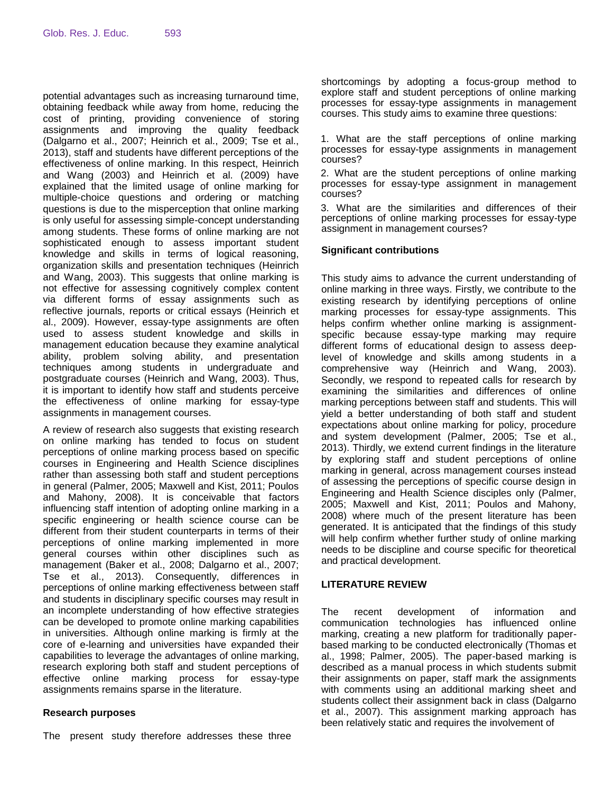potential advantages such as increasing turnaround time, obtaining feedback while away from home, reducing the cost of printing, providing convenience of storing assignments and improving the quality feedback (Dalgarno et al., 2007; Heinrich et al., 2009; Tse et al., 2013), staff and students have different perceptions of the effectiveness of online marking. In this respect, Heinrich and Wang (2003) and Heinrich et al. (2009) have explained that the limited usage of online marking for multiple-choice questions and ordering or matching questions is due to the misperception that online marking is only useful for assessing simple-concept understanding among students. These forms of online marking are not sophisticated enough to assess important student knowledge and skills in terms of logical reasoning, organization skills and presentation techniques (Heinrich and Wang, 2003). This suggests that online marking is not effective for assessing cognitively complex content via different forms of essay assignments such as reflective journals, reports or critical essays (Heinrich et al., 2009). However, essay-type assignments are often used to assess student knowledge and skills in management education because they examine analytical ability, problem solving ability, and presentation techniques among students in undergraduate and postgraduate courses (Heinrich and Wang, 2003). Thus, it is important to identify how staff and students perceive the effectiveness of online marking for essay-type assignments in management courses.

A review of research also suggests that existing research on online marking has tended to focus on student perceptions of online marking process based on specific courses in Engineering and Health Science disciplines rather than assessing both staff and student perceptions in general (Palmer, 2005; Maxwell and Kist, 2011; Poulos and Mahony, 2008). It is conceivable that factors influencing staff intention of adopting online marking in a specific engineering or health science course can be different from their student counterparts in terms of their perceptions of online marking implemented in more general courses within other disciplines such as management (Baker et al., 2008; Dalgarno et al., 2007; Tse et al., 2013). Consequently, differences in perceptions of online marking effectiveness between staff and students in disciplinary specific courses may result in an incomplete understanding of how effective strategies can be developed to promote online marking capabilities in universities. Although online marking is firmly at the core of e-learning and universities have expanded their capabilities to leverage the advantages of online marking, research exploring both staff and student perceptions of effective online marking process for essay-type assignments remains sparse in the literature.

## **Research purposes**

The present study therefore addresses these three

shortcomings by adopting a focus-group method to explore staff and student perceptions of online marking processes for essay-type assignments in management courses. This study aims to examine three questions:

1. What are the staff perceptions of online marking processes for essay-type assignments in management courses?

2. What are the student perceptions of online marking processes for essay-type assignment in management courses?

3. What are the similarities and differences of their perceptions of online marking processes for essay-type assignment in management courses?

## **Significant contributions**

This study aims to advance the current understanding of online marking in three ways. Firstly, we contribute to the existing research by identifying perceptions of online marking processes for essay-type assignments. This helps confirm whether online marking is assignmentspecific because essay-type marking may require different forms of educational design to assess deeplevel of knowledge and skills among students in a comprehensive way (Heinrich and Wang, 2003). Secondly, we respond to repeated calls for research by examining the similarities and differences of online marking perceptions between staff and students. This will yield a better understanding of both staff and student expectations about online marking for policy, procedure and system development (Palmer, 2005; Tse et al., 2013). Thirdly, we extend current findings in the literature by exploring staff and student perceptions of online marking in general, across management courses instead of assessing the perceptions of specific course design in Engineering and Health Science disciples only (Palmer, 2005; Maxwell and Kist, 2011; Poulos and Mahony, 2008) where much of the present literature has been generated. It is anticipated that the findings of this study will help confirm whether further study of online marking needs to be discipline and course specific for theoretical and practical development.

## **LITERATURE REVIEW**

The recent development of information and communication technologies has influenced online marking, creating a new platform for traditionally paperbased marking to be conducted electronically (Thomas et al., 1998; Palmer, 2005). The paper-based marking is described as a manual process in which students submit their assignments on paper, staff mark the assignments with comments using an additional marking sheet and students collect their assignment back in class (Dalgarno et al., 2007). This assignment marking approach has been relatively static and requires the involvement of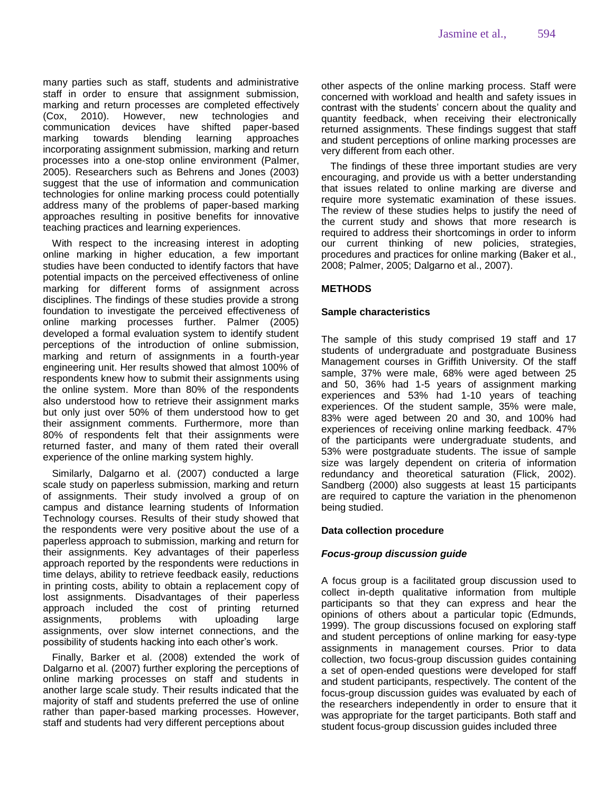many parties such as staff, students and administrative staff in order to ensure that assignment submission, marking and return processes are completed effectively (Cox, 2010). However, new technologies and communication devices have shifted paper-based marking towards blending learning approaches incorporating assignment submission, marking and return processes into a one-stop online environment (Palmer, 2005). Researchers such as Behrens and Jones (2003) suggest that the use of information and communication technologies for online marking process could potentially address many of the problems of paper-based marking approaches resulting in positive benefits for innovative teaching practices and learning experiences.

With respect to the increasing interest in adopting online marking in higher education, a few important studies have been conducted to identify factors that have potential impacts on the perceived effectiveness of online marking for different forms of assignment across disciplines. The findings of these studies provide a strong foundation to investigate the perceived effectiveness of online marking processes further. Palmer (2005) developed a formal evaluation system to identify student perceptions of the introduction of online submission, marking and return of assignments in a fourth-year engineering unit. Her results showed that almost 100% of respondents knew how to submit their assignments using the online system. More than 80% of the respondents also understood how to retrieve their assignment marks but only just over 50% of them understood how to get their assignment comments. Furthermore, more than 80% of respondents felt that their assignments were returned faster, and many of them rated their overall experience of the online marking system highly.

Similarly, Dalgarno et al. (2007) conducted a large scale study on paperless submission, marking and return of assignments. Their study involved a group of on campus and distance learning students of Information Technology courses. Results of their study showed that the respondents were very positive about the use of a paperless approach to submission, marking and return for their assignments. Key advantages of their paperless approach reported by the respondents were reductions in time delays, ability to retrieve feedback easily, reductions in printing costs, ability to obtain a replacement copy of lost assignments. Disadvantages of their paperless approach included the cost of printing returned assignments, problems with uploading large assignments, over slow internet connections, and the possibility of students hacking into each other's work.

Finally, Barker et al. (2008) extended the work of Dalgarno et al. (2007) further exploring the perceptions of online marking processes on staff and students in another large scale study. Their results indicated that the majority of staff and students preferred the use of online rather than paper-based marking processes. However, staff and students had very different perceptions about

other aspects of the online marking process. Staff were concerned with workload and health and safety issues in contrast with the students' concern about the quality and quantity feedback, when receiving their electronically returned assignments. These findings suggest that staff and student perceptions of online marking processes are very different from each other.

The findings of these three important studies are very encouraging, and provide us with a better understanding that issues related to online marking are diverse and require more systematic examination of these issues. The review of these studies helps to justify the need of the current study and shows that more research is required to address their shortcomings in order to inform our current thinking of new policies, strategies, procedures and practices for online marking (Baker et al., 2008; Palmer, 2005; Dalgarno et al., 2007).

# **METHODS**

## **Sample characteristics**

The sample of this study comprised 19 staff and 17 students of undergraduate and postgraduate Business Management courses in Griffith University. Of the staff sample, 37% were male, 68% were aged between 25 and 50, 36% had 1-5 years of assignment marking experiences and 53% had 1-10 years of teaching experiences. Of the student sample, 35% were male, 83% were aged between 20 and 30, and 100% had experiences of receiving online marking feedback. 47% of the participants were undergraduate students, and 53% were postgraduate students. The issue of sample size was largely dependent on criteria of information redundancy and theoretical saturation (Flick, 2002). Sandberg (2000) also suggests at least 15 participants are required to capture the variation in the phenomenon being studied.

## **Data collection procedure**

## *Focus-group discussion guide*

A focus group is a facilitated group discussion used to collect in-depth qualitative information from multiple participants so that they can express and hear the opinions of others about a particular topic (Edmunds, 1999). The group discussions focused on exploring staff and student perceptions of online marking for easy-type assignments in management courses. Prior to data collection, two focus-group discussion guides containing a set of open-ended questions were developed for staff and student participants, respectively. The content of the focus-group discussion guides was evaluated by each of the researchers independently in order to ensure that it was appropriate for the target participants. Both staff and student focus-group discussion guides included three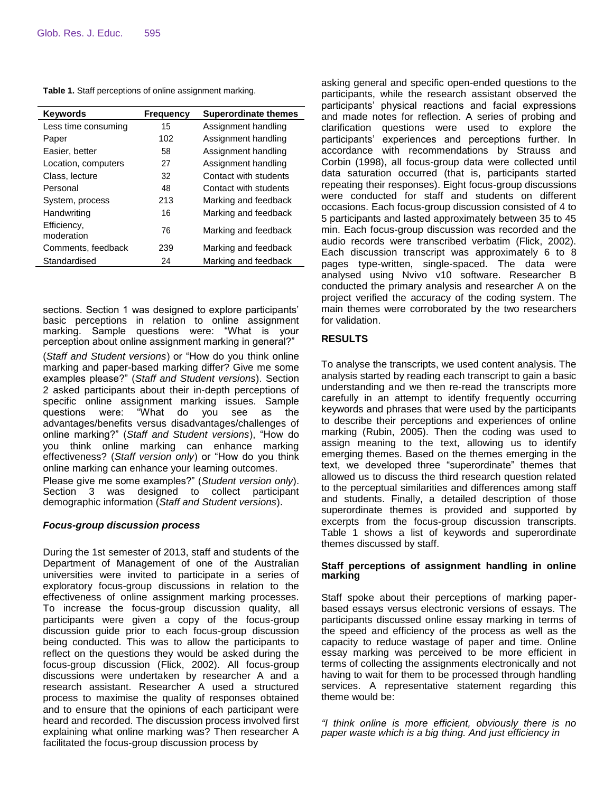**Table 1.** Staff perceptions of online assignment marking.

| <b>Keywords</b>           | <b>Frequency</b> | <b>Superordinate themes</b> |
|---------------------------|------------------|-----------------------------|
| Less time consuming       | 15               | Assignment handling         |
| Paper                     | 102              | Assignment handling         |
| Easier, better            | 58               | Assignment handling         |
| Location, computers       | 27               | Assignment handling         |
| Class, lecture            | 32               | Contact with students       |
| Personal                  | 48               | Contact with students       |
| System, process           | 213              | Marking and feedback        |
| Handwriting               | 16               | Marking and feedback        |
| Efficiency,<br>moderation | 76               | Marking and feedback        |
| Comments, feedback        | 239              | Marking and feedback        |
| Standardised              | 24               | Marking and feedback        |

sections. Section 1 was designed to explore participants' basic perceptions in relation to online assignment marking. Sample questions were: "What is your perception about online assignment marking in general?"

(*Staff and Student versions*) or "How do you think online marking and paper-based marking differ? Give me some examples please?" (*Staff and Student versions*). Section 2 asked participants about their in-depth perceptions of specific online assignment marking issues. Sample questions were: "What do you see as the advantages/benefits versus disadvantages/challenges of online marking?" (*Staff and Student versions*), "How do you think online marking can enhance marking effectiveness? (*Staff version only*) or "How do you think online marking can enhance your learning outcomes.

Please give me some examples?" (*Student version only*). Section 3 was designed to collect participant demographic information (*Staff and Student versions*).

## *Focus-group discussion process*

During the 1st semester of 2013, staff and students of the Department of Management of one of the Australian universities were invited to participate in a series of exploratory focus-group discussions in relation to the effectiveness of online assignment marking processes. To increase the focus-group discussion quality, all participants were given a copy of the focus-group discussion guide prior to each focus-group discussion being conducted. This was to allow the participants to reflect on the questions they would be asked during the focus-group discussion (Flick, 2002). All focus-group discussions were undertaken by researcher A and a research assistant. Researcher A used a structured process to maximise the quality of responses obtained and to ensure that the opinions of each participant were heard and recorded. The discussion process involved first explaining what online marking was? Then researcher A facilitated the focus-group discussion process by

asking general and specific open-ended questions to the participants, while the research assistant observed the participants' physical reactions and facial expressions and made notes for reflection. A series of probing and clarification questions were used to explore the participants' experiences and perceptions further. In accordance with recommendations by Strauss and Corbin (1998), all focus-group data were collected until data saturation occurred (that is, participants started repeating their responses). Eight focus-group discussions were conducted for staff and students on different occasions. Each focus-group discussion consisted of 4 to 5 participants and lasted approximately between 35 to 45 min. Each focus-group discussion was recorded and the audio records were transcribed verbatim (Flick, 2002). Each discussion transcript was approximately 6 to 8 pages type-written, single-spaced. The data were analysed using Nvivo v10 software. Researcher B conducted the primary analysis and researcher A on the project verified the accuracy of the coding system. The main themes were corroborated by the two researchers for validation.

## **RESULTS**

To analyse the transcripts, we used content analysis. The analysis started by reading each transcript to gain a basic understanding and we then re-read the transcripts more carefully in an attempt to identify frequently occurring keywords and phrases that were used by the participants to describe their perceptions and experiences of online marking (Rubin, 2005). Then the coding was used to assign meaning to the text, allowing us to identify emerging themes. Based on the themes emerging in the text, we developed three "superordinate" themes that allowed us to discuss the third research question related to the perceptual similarities and differences among staff and students. Finally, a detailed description of those superordinate themes is provided and supported by excerpts from the focus-group discussion transcripts. Table 1 shows a list of keywords and superordinate themes discussed by staff.

### **Staff perceptions of assignment handling in online marking**

Staff spoke about their perceptions of marking paperbased essays versus electronic versions of essays. The participants discussed online essay marking in terms of the speed and efficiency of the process as well as the capacity to reduce wastage of paper and time. Online essay marking was perceived to be more efficient in terms of collecting the assignments electronically and not having to wait for them to be processed through handling services. A representative statement regarding this theme would be:

*"I think online is more efficient, obviously there is no paper waste which is a big thing. And just efficiency in*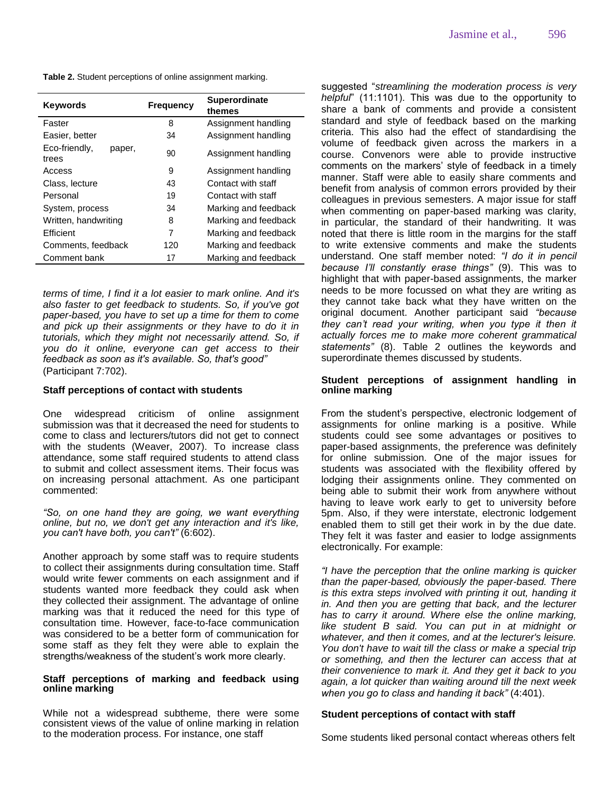|  |  | Table 2. Student perceptions of online assignment marking. |  |  |  |  |
|--|--|------------------------------------------------------------|--|--|--|--|
|--|--|------------------------------------------------------------|--|--|--|--|

| Faster<br>8<br>Assignment handling<br>Assignment handling<br>Easier, better<br>34<br>Eco-friendly,<br>paper,<br>90<br>Assignment handling<br>trees<br>Assignment handling<br>9<br>Access<br>Contact with staff<br>Class, lecture<br>43<br>Contact with staff<br>Personal<br>19<br>Marking and feedback<br>System, process<br>34<br>Written, handwriting<br>Marking and feedback<br>8<br><b>Efficient</b><br>7<br>Marking and feedback<br>Comments, feedback<br>120<br>Marking and feedback | <b>Keywords</b> | <b>Frequency</b> | <b>Superordinate</b><br>themes |
|--------------------------------------------------------------------------------------------------------------------------------------------------------------------------------------------------------------------------------------------------------------------------------------------------------------------------------------------------------------------------------------------------------------------------------------------------------------------------------------------|-----------------|------------------|--------------------------------|
|                                                                                                                                                                                                                                                                                                                                                                                                                                                                                            |                 |                  |                                |
|                                                                                                                                                                                                                                                                                                                                                                                                                                                                                            |                 |                  |                                |
|                                                                                                                                                                                                                                                                                                                                                                                                                                                                                            |                 |                  |                                |
|                                                                                                                                                                                                                                                                                                                                                                                                                                                                                            |                 |                  |                                |
|                                                                                                                                                                                                                                                                                                                                                                                                                                                                                            |                 |                  |                                |
|                                                                                                                                                                                                                                                                                                                                                                                                                                                                                            |                 |                  |                                |
|                                                                                                                                                                                                                                                                                                                                                                                                                                                                                            |                 |                  |                                |
|                                                                                                                                                                                                                                                                                                                                                                                                                                                                                            |                 |                  |                                |
|                                                                                                                                                                                                                                                                                                                                                                                                                                                                                            |                 |                  |                                |
|                                                                                                                                                                                                                                                                                                                                                                                                                                                                                            |                 |                  |                                |
|                                                                                                                                                                                                                                                                                                                                                                                                                                                                                            | Comment bank    | 17               | Marking and feedback           |

*terms of time, I find it a lot easier to mark online. And it's also faster to get feedback to students. So, if you've got paper-based, you have to set up a time for them to come and pick up their assignments or they have to do it in tutorials, which they might not necessarily attend. So, if you do it online, everyone can get access to their feedback as soon as it's available. So, that's good"* (Participant 7:702).

#### **Staff perceptions of contact with students**

One widespread criticism of online assignment submission was that it decreased the need for students to come to class and lecturers/tutors did not get to connect with the students (Weaver, 2007). To increase class attendance, some staff required students to attend class to submit and collect assessment items. Their focus was on increasing personal attachment. As one participant commented:

*"So, on one hand they are going, we want everything online, but no, we don't get any interaction and it's like, you can't have both, you can't"* (6:602).

Another approach by some staff was to require students to collect their assignments during consultation time. Staff would write fewer comments on each assignment and if students wanted more feedback they could ask when they collected their assignment. The advantage of online marking was that it reduced the need for this type of consultation time. However, face-to-face communication was considered to be a better form of communication for some staff as they felt they were able to explain the strengths/weakness of the student's work more clearly.

#### **Staff perceptions of marking and feedback using online marking**

While not a widespread subtheme, there were some consistent views of the value of online marking in relation to the moderation process. For instance, one staff

suggested "*streamlining the moderation process is very helpful*" (11:1101). This was due to the opportunity to share a bank of comments and provide a consistent standard and style of feedback based on the marking criteria. This also had the effect of standardising the volume of feedback given across the markers in a course. Convenors were able to provide instructive comments on the markers' style of feedback in a timely manner. Staff were able to easily share comments and benefit from analysis of common errors provided by their colleagues in previous semesters. A major issue for staff when commenting on paper-based marking was clarity, in particular, the standard of their handwriting. It was noted that there is little room in the margins for the staff to write extensive comments and make the students understand. One staff member noted: *"I do it in pencil because I'll constantly erase things"* (9). This was to highlight that with paper-based assignments, the marker needs to be more focussed on what they are writing as they cannot take back what they have written on the original document. Another participant said *"because they can't read your writing, when you type it then it actually forces me to make more coherent grammatical statements"* (8). Table 2 outlines the keywords and superordinate themes discussed by students.

#### **Student perceptions of assignment handling in online marking**

From the student's perspective, electronic lodgement of assignments for online marking is a positive. While students could see some advantages or positives to paper-based assignments, the preference was definitely for online submission. One of the major issues for students was associated with the flexibility offered by lodging their assignments online. They commented on being able to submit their work from anywhere without having to leave work early to get to university before 5pm. Also, if they were interstate, electronic lodgement enabled them to still get their work in by the due date. They felt it was faster and easier to lodge assignments electronically. For example:

*"I have the perception that the online marking is quicker than the paper-based, obviously the paper-based. There is this extra steps involved with printing it out, handing it in. And then you are getting that back, and the lecturer has to carry it around. Where else the online marking, like student B said. You can put in at midnight or whatever, and then it comes, and at the lecturer's leisure. You don't have to wait till the class or make a special trip or something, and then the lecturer can access that at their convenience to mark it. And they get it back to you again, a lot quicker than waiting around till the next week when you go to class and handing it back"* (4:401).

#### **Student perceptions of contact with staff**

Some students liked personal contact whereas others felt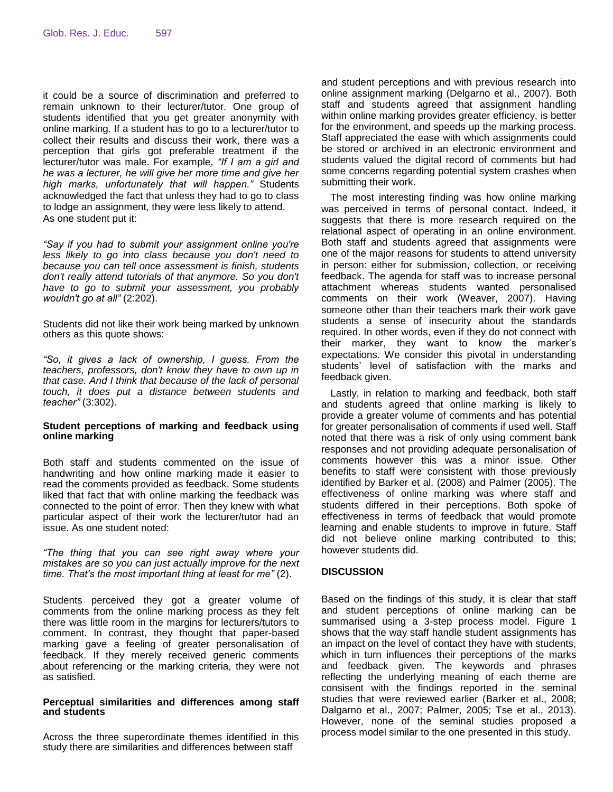it could be a source of discrimination and preferred to remain unknown to their lecturer/tutor. One group of students identified that you get greater anonymity with online marking. If a student has to go to a lecturer/tutor to collect their results and discuss their work, there was a perception that girls got preferable treatment if the lecturer/tutor was male. For example, *"If I am a girl and he was a lecturer, he will give her more time and give her high marks, unfortunately that will happen."* Students acknowledged the fact that unless they had to go to class to lodge an assignment, they were less likely to attend. As one student put it:

*"Say if you had to submit your assignment online you're less likely to go into class because you don't need to because you can tell once assessment is finish, students don't really attend tutorials of that anymore. So you don't have to go to submit your assessment, you probably wouldn't go at all"* (2:202).

Students did not like their work being marked by unknown others as this quote shows:

*"So, it gives a lack of ownership, I guess. From the teachers, professors, don't know they have to own up in that case. And I think that because of the lack of personal touch, it does put a distance between students and teacher"* (3:302).

#### **Student perceptions of marking and feedback using online marking**

Both staff and students commented on the issue of handwriting and how online marking made it easier to read the comments provided as feedback. Some students liked that fact that with online marking the feedback was connected to the point of error. Then they knew with what particular aspect of their work the lecturer/tutor had an issue. As one student noted:

*"The thing that you can see right away where your mistakes are so you can just actually improve for the next time. That's the most important thing at least for me"* (2).

Students perceived they got a greater volume of comments from the online marking process as they felt there was little room in the margins for lecturers/tutors to comment. In contrast, they thought that paper-based marking gave a feeling of greater personalisation of feedback. If they merely received generic comments about referencing or the marking criteria, they were not as satisfied.

#### **Perceptual similarities and differences among staff and students**

Across the three superordinate themes identified in this study there are similarities and differences between staff

and student perceptions and with previous research into online assignment marking (Delgarno et al., 2007). Both staff and students agreed that assignment handling within online marking provides greater efficiency, is better for the environment, and speeds up the marking process. Staff appreciated the ease with which assignments could be stored or archived in an electronic environment and students valued the digital record of comments but had some concerns regarding potential system crashes when submitting their work.

The most interesting finding was how online marking was perceived in terms of personal contact. Indeed, it suggests that there is more research required on the relational aspect of operating in an online environment. Both staff and students agreed that assignments were one of the major reasons for students to attend university in person: either for submission, collection, or receiving feedback. The agenda for staff was to increase personal attachment whereas students wanted personalised comments on their work (Weaver, 2007). Having someone other than their teachers mark their work gave students a sense of insecurity about the standards required. In other words, even if they do not connect with their marker, they want to know the marker's expectations. We consider this pivotal in understanding students' level of satisfaction with the marks and feedback given.

Lastly, in relation to marking and feedback, both staff and students agreed that online marking is likely to provide a greater volume of comments and has potential for greater personalisation of comments if used well. Staff noted that there was a risk of only using comment bank responses and not providing adequate personalisation of comments however this was a minor issue. Other benefits to staff were consistent with those previously identified by Barker et al. (2008) and Palmer (2005). The effectiveness of online marking was where staff and students differed in their perceptions. Both spoke of effectiveness in terms of feedback that would promote learning and enable students to improve in future. Staff did not believe online marking contributed to this; however students did.

## **DISCUSSION**

Based on the findings of this study, it is clear that staff and student perceptions of online marking can be summarised using a 3-step process model. Figure 1 shows that the way staff handle student assignments has an impact on the level of contact they have with students, which in turn influences their perceptions of the marks and feedback given. The keywords and phrases reflecting the underlying meaning of each theme are consisent with the findings reported in the seminal studies that were reviewed earlier (Barker et al., 2008; Dalgarno et al., 2007; Palmer, 2005; Tse et al., 2013). However, none of the seminal studies proposed a process model similar to the one presented in this study.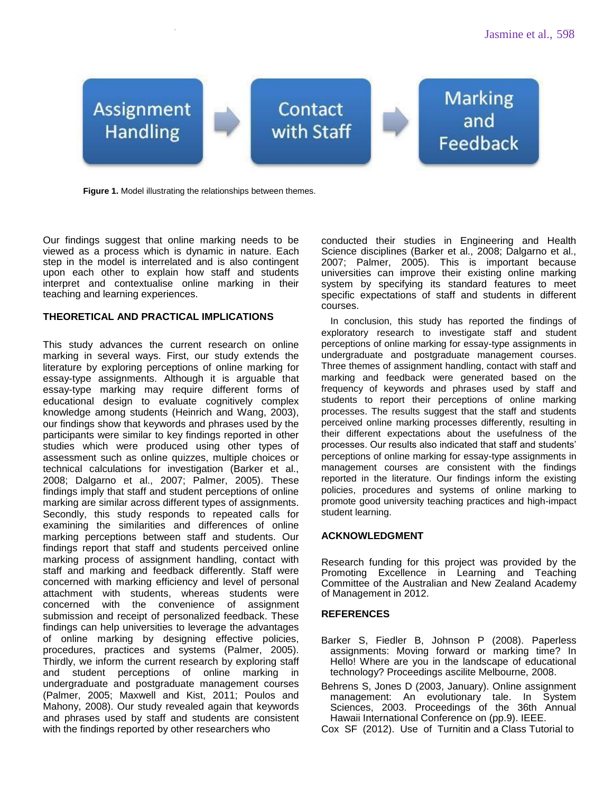

**Figure 1.** Model illustrating the relationships between themes.

Our findings suggest that online marking needs to be viewed as a process which is dynamic in nature. Each step in the model is interrelated and is also contingent upon each other to explain how staff and students interpret and contextualise online marking in their teaching and learning experiences.

## **THEORETICAL AND PRACTICAL IMPLICATIONS**

This study advances the current research on online marking in several ways. First, our study extends the literature by exploring perceptions of online marking for essay-type assignments. Although it is arguable that essay-type marking may require different forms of educational design to evaluate cognitively complex knowledge among students (Heinrich and Wang, 2003), our findings show that keywords and phrases used by the participants were similar to key findings reported in other studies which were produced using other types of assessment such as online quizzes, multiple choices or technical calculations for investigation (Barker et al., 2008; Dalgarno et al., 2007; Palmer, 2005). These findings imply that staff and student perceptions of online marking are similar across different types of assignments. Secondly, this study responds to repeated calls for examining the similarities and differences of online marking perceptions between staff and students. Our findings report that staff and students perceived online marking process of assignment handling, contact with staff and marking and feedback differently. Staff were concerned with marking efficiency and level of personal attachment with students, whereas students were concerned with the convenience of assignment submission and receipt of personalized feedback. These findings can help universities to leverage the advantages of online marking by designing effective policies, procedures, practices and systems (Palmer, 2005). Thirdly, we inform the current research by exploring staff and student perceptions of online marking in undergraduate and postgraduate management courses (Palmer, 2005; Maxwell and Kist, 2011; Poulos and Mahony, 2008). Our study revealed again that keywords and phrases used by staff and students are consistent with the findings reported by other researchers who

conducted their studies in Engineering and Health Science disciplines (Barker et al., 2008; Dalgarno et al., 2007; Palmer, 2005). This is important because universities can improve their existing online marking system by specifying its standard features to meet specific expectations of staff and students in different courses.

In conclusion, this study has reported the findings of exploratory research to investigate staff and student perceptions of online marking for essay-type assignments in undergraduate and postgraduate management courses. Three themes of assignment handling, contact with staff and marking and feedback were generated based on the frequency of keywords and phrases used by staff and students to report their perceptions of online marking processes. The results suggest that the staff and students perceived online marking processes differently, resulting in their different expectations about the usefulness of the processes. Our results also indicated that staff and students' perceptions of online marking for essay-type assignments in management courses are consistent with the findings reported in the literature. Our findings inform the existing policies, procedures and systems of online marking to promote good university teaching practices and high-impact student learning.

## **ACKNOWLEDGMENT**

Research funding for this project was provided by the Promoting Excellence in Learning and Teaching Committee of the Australian and New Zealand Academy of Management in 2012.

## **REFERENCES**

- Barker S, Fiedler B, Johnson P (2008). Paperless assignments: Moving forward or marking time? In Hello! Where are you in the landscape of educational technology? Proceedings ascilite Melbourne, 2008.
- Behrens S, Jones D (2003, January). Online assignment management: An evolutionary tale. In System Sciences, 2003. Proceedings of the 36th Annual Hawaii International Conference on (pp.9). IEEE.
- Cox SF (2012). Use of Turnitin and a Class Tutorial to